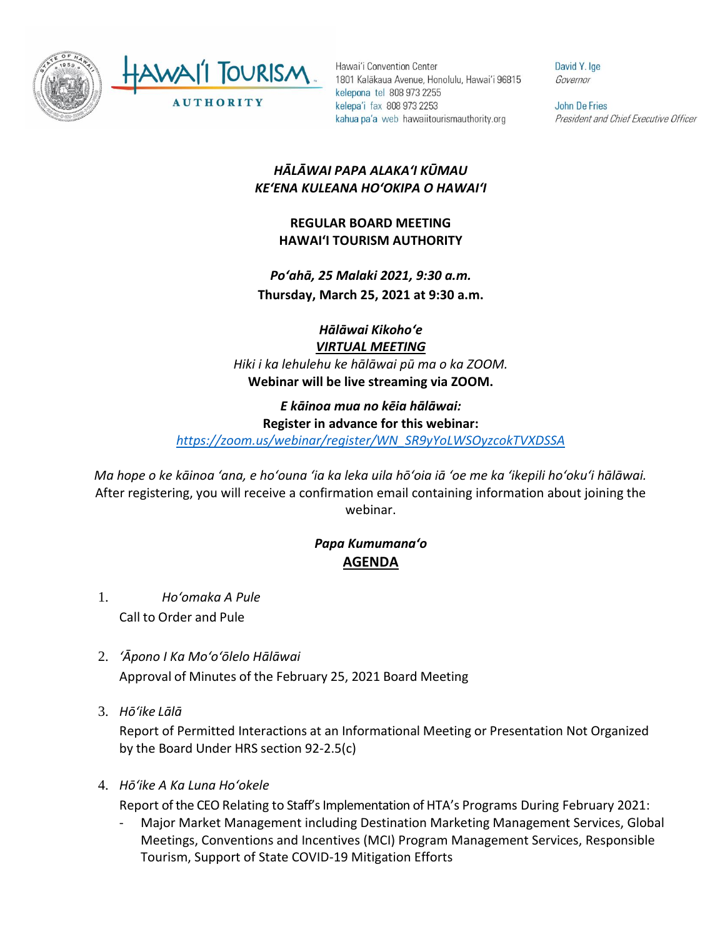

Hawai'i Convention Center 1801 Kalākaua Avenue, Honolulu, Hawai'i 96815 kelepona tel 808 973 2255 kelepa'i fax 808 973 2253 kahua pa'a web hawaiitourismauthority.org

David Y. Ige Governor

John De Fries President and Chief Executive Officer

## *HĀLĀWAI PAPA ALAKAʻI KŪMAU KEʻENA KULEANA HOʻOKIPA O HAWAIʻI*

## **REGULAR BOARD MEETING HAWAI'I TOURISM AUTHORITY**

*Poʻahā, 25 Malaki 2021, 9:30 a.m.* **Thursday, March 25, 2021 at 9:30 a.m.**

> *Hālāwai Kikohoʻe VIRTUAL MEETING*

*Hiki i ka lehulehu ke hālāwai pū ma o ka ZOOM.* **Webinar will be live streaming via ZOOM.**

## *E kāinoa mua no kēia hālāwai:* **Register in advance for this webinar:**

*[https://zoom.us/webinar/register/WN\\_SR9yYoLWSOyzcokTVXDSSA](https://zoom.us/webinar/register/WN_SR9yYoLWSOyzcokTVXDSSA)*

*Ma hope o ke kāinoa ʻana, e hoʻouna ʻia ka leka uila hōʻoia iā ʻoe me ka ʻikepili hoʻokuʻi hālāwai.* After registering, you will receive a confirmation email containing information about joining the webinar.

## *Papa Kumumanaʻo* **AGENDA**

- 1. *Ho'omaka A Pule* Call to Order and Pule
- 2. *ʻĀpono I Ka Moʻoʻōlelo Hālāwai* Approval of Minutes of the February 25, 2021 Board Meeting
- 3. *Hō'ike Lālā*

Report of Permitted Interactions at an Informational Meeting or Presentation Not Organized by the Board Under HRS section 92-2.5(c)

4. *Hōʻike A Ka Luna Hoʻokele*

Report of the CEO Relating to Staff's Implementation of HTA's Programs During February 2021:

- Major Market Management including Destination Marketing Management Services, Global Meetings, Conventions and Incentives (MCI) Program Management Services, Responsible Tourism, Support of State COVID-19 Mitigation Efforts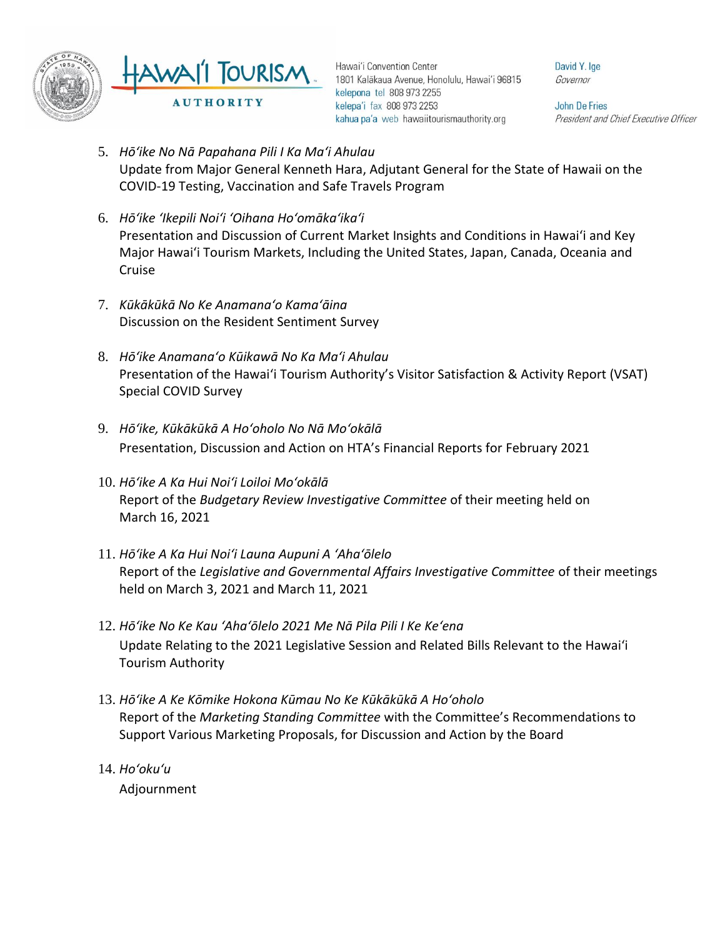

Hawai'i Convention Center 1801 Kalākaua Avenue, Honolulu, Hawai'i 96815 kelepona tel 808 973 2255 kelepa'i fax 808 973 2253 kahua pa'a web hawaiitourismauthority.org

David Y. Ige Governor

**John De Fries** President and Chief Executive Officer

- 5. *Hōʻike No Nā Papahana Pili I Ka Maʻi Ahulau* Update from Major General Kenneth Hara, Adjutant General for the State of Hawaii on the COVID-19 Testing, Vaccination and Safe Travels Program
- 6. *Hōʻike ʻIkepili Noiʻi ʻOihana Hoʻomākaʻikaʻi* Presentation and Discussion of Current Market Insights and Conditions in Hawai'i and Key Major Hawai'i Tourism Markets, Including the United States, Japan, Canada, Oceania and Cruise
- 7. *Kūkākūkā No Ke Anamanaʻo Kamaʻāina* Discussion on the Resident Sentiment Survey
- 8. *Hōʻike Anamanaʻo Kūikawā No Ka Maʻi Ahulau*  Presentation of the Hawaiʻi Tourism Authority's Visitor Satisfaction & Activity Report (VSAT) Special COVID Survey
- 9. *Hōʻike, Kūkākūkā A Hoʻoholo No Nā Moʻokālā*  Presentation, Discussion and Action on HTA's Financial Reports for February 2021
- 10. *Hōʻike A Ka Hui Noiʻi Loiloi Moʻokālā*  Report of the *Budgetary Review Investigative Committee* of their meeting held on March 16, 2021
- 11. *Hōʻike A Ka Hui Noiʻi Launa Aupuni A ʻAhaʻōlelo* Report of the *Legislative and Governmental Affairs Investigative Committee* of their meetings held on March 3, 2021 and March 11, 2021
- 12. *Hōʻike No Ke Kau ʻAhaʻōlelo 2021 Me Nā Pila Pili I Ke Keʻena* Update Relating to the 2021 Legislative Session and Related Bills Relevant to the Hawaiʻi Tourism Authority
- 13. *Hōʻike A Ke Kōmike Hokona Kūmau No Ke Kūkākūkā A Hoʻoholo* Report of the *Marketing Standing Committee* with the Committee's Recommendations to Support Various Marketing Proposals, for Discussion and Action by the Board
- 14. *Ho'oku'u* Adjournment